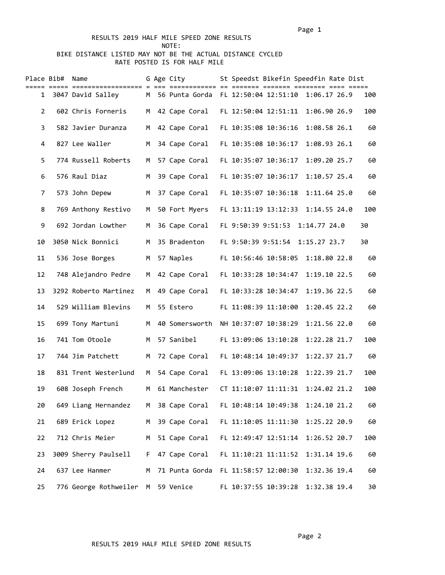## RESULTS 2019 HALF MILE SPEED ZONE RESULTS NOTE: BIKE DISTANCE LISTED MAY NOT BE THE ACTUAL DISTANCE CYCLED RATE POSTED IS FOR HALF MILE

|                | Place Bib# Name |                       |    | G Age City     | St Speedst Bikefin Speedfin Rate Dist              |     |
|----------------|-----------------|-----------------------|----|----------------|----------------------------------------------------|-----|
|                |                 | 1 3047 David Salley   |    |                | M 56 Punta Gorda FL 12:50:04 12:51:10 1:06.17 26.9 | 100 |
| $\overline{2}$ |                 | 602 Chris Forneris    | M  | 42 Cape Coral  | FL 12:50:04 12:51:11<br>1:06.90 26.9               | 100 |
| 3              |                 | 582 Javier Duranza    | M  | 42 Cape Coral  | FL 10:35:08 10:36:16<br>1:08.58 26.1               | 60  |
| 4              |                 | 827 Lee Waller        | M  | 34 Cape Coral  | FL 10:35:08 10:36:17<br>1:08.93 26.1               | 60  |
| 5              |                 | 774 Russell Roberts   | M  | 57 Cape Coral  | FL 10:35:07 10:36:17<br>1:09.20 25.7               | 60  |
| 6              |                 | 576 Raul Diaz         | M  | 39 Cape Coral  | FL 10:35:07 10:36:17<br>1:10.57 25.4               | 60  |
| 7              |                 | 573 John Depew        | M  | 37 Cape Coral  | FL 10:35:07 10:36:18<br>1:11.64 25.0               | 60  |
| 8              |                 | 769 Anthony Restivo   | M  | 50 Fort Myers  | FL 13:11:19 13:12:33<br>1:14.55 24.0               | 100 |
| 9              |                 | 692 Jordan Lowther    | M  | 36 Cape Coral  | FL 9:50:39 9:51:53 1:14.77 24.0                    | 30  |
| 10             |                 | 3050 Nick Bonnici     | M  | 35 Bradenton   | FL 9:50:39 9:51:54 1:15.27 23.7                    | 30  |
| 11             |                 | 536 Jose Borges       | M  | 57 Naples      | FL 10:56:46 10:58:05 1:18.80 22.8                  | 60  |
| 12             |                 | 748 Alejandro Pedre   | M  | 42 Cape Coral  | FL 10:33:28 10:34:47<br>1:19.10 22.5               | 60  |
| 13             |                 | 3292 Roberto Martinez | M  | 49 Cape Coral  | FL 10:33:28 10:34:47<br>1:19.36 22.5               | 60  |
| 14             |                 | 529 William Blevins   | M  | 55 Estero      | FL 11:08:39 11:10:00<br>1:20.45 22.2               | 60  |
| 15             |                 | 699 Tony Martuni      | M  | 40 Somersworth | NH 10:37:07 10:38:29<br>1:21.56 22.0               | 60  |
| 16             |                 | 741 Tom Otoole        | M  | 57 Sanibel     | FL 13:09:06 13:10:28<br>1:22.28 21.7               | 100 |
| 17             |                 | 744 Jim Patchett      | M  | 72 Cape Coral  | FL 10:48:14 10:49:37<br>1:22.37 21.7               | 60  |
| 18             |                 | 831 Trent Westerlund  | M  | 54 Cape Coral  | FL 13:09:06 13:10:28<br>1:22.39 21.7               | 100 |
| 19             |                 | 608 Joseph French     | M  | 61 Manchester  | CT 11:10:07 11:11:31<br>1:24.02 21.2               | 100 |
| 20             |                 | 649 Liang Hernandez   | М  | 38 Cape Coral  | FL 10:48:14 10:49:38<br>1:24.10 21.2               | 60  |
| 21             |                 | 689 Erick Lopez       | M  | 39 Cape Coral  | FL 11:10:05 11:11:30<br>1:25.22 20.9               | 60  |
| 22             |                 | 712 Chris Meier       | M  | 51 Cape Coral  | FL 12:49:47 12:51:14<br>1:26.52 20.7               | 100 |
| 23             |                 | 3009 Sherry Paulsell  | F. | 47 Cape Coral  | FL 11:10:21 11:11:52<br>1:31.14 19.6               | 60  |
| 24             |                 | 637 Lee Hanmer        | М  | 71 Punta Gorda | FL 11:58:57 12:00:30<br>1:32.36 19.4               | 60  |
| 25             |                 | 776 George Rothweiler | M  | 59 Venice      | FL 10:37:55 10:39:28<br>1:32.38 19.4               | 30  |

RESULTS 2019 HALF MILE SPEED ZONE RESULTS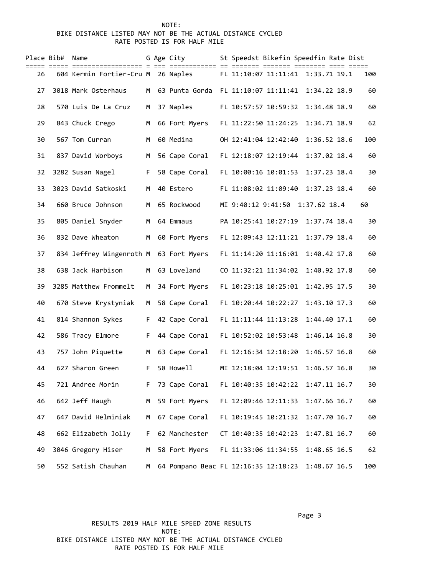## NOTE: BIKE DISTANCE LISTED MAY NOT BE THE ACTUAL DISTANCE CYCLED RATE POSTED IS FOR HALF MILE

| Place Bib# | Name                                   |    | G Age City     | St Speedst Bikefin Speedfin Rate Dist                       |  |
|------------|----------------------------------------|----|----------------|-------------------------------------------------------------|--|
| 26         | 604 Kermin Fortier-Cru M 26 Naples     |    |                | FL 11:10:07 11:11:41 1:33.71 19.1<br>100                    |  |
| 27         | 3018 Mark Osterhaus                    | м  | 63 Punta Gorda | FL 11:10:07 11:11:41<br>1:34.22 18.9<br>60                  |  |
| 28         | 570 Luis De La Cruz                    | М  | 37 Naples      | FL 10:57:57 10:59:32<br>1:34.48 18.9<br>60                  |  |
| 29         | 843 Chuck Crego                        | М  | 66 Fort Myers  | FL 11:22:50 11:24:25<br>1:34.71 18.9<br>62                  |  |
| 30         | 567 Tom Curran                         | М  | 60 Medina      | OH 12:41:04 12:42:40<br>1:36.52 18.6<br>100                 |  |
| 31         | 837 David Worboys                      | M  | 56 Cape Coral  | FL 12:18:07 12:19:44<br>1:37.02 18.4<br>60                  |  |
| 32         | 3282 Susan Nagel                       | F. | 58 Cape Coral  | FL 10:00:16 10:01:53<br>1:37.23 18.4<br>30                  |  |
| 33         | 3023 David Satkoski                    | M  | 40 Estero      | FL 11:08:02 11:09:40<br>1:37.23 18.4<br>60                  |  |
| 34         | 660 Bruce Johnson                      | М  | 65 Rockwood    | MI 9:40:12 9:41:50 1:37.62 18.4<br>60                       |  |
| 35         | 805 Daniel Snyder                      | M  | 64 Emmaus      | PA 10:25:41 10:27:19<br>1:37.74 18.4<br>30                  |  |
| 36         | 832 Dave Wheaton                       | M  | 60 Fort Myers  | FL 12:09:43 12:11:21<br>1:37.79 18.4<br>60                  |  |
| 37         | 834 Jeffrey Wingenroth M 63 Fort Myers |    |                | FL 11:14:20 11:16:01<br>1:40.42 17.8<br>60                  |  |
| 38         | 638 Jack Harbison                      | м  | 63 Loveland    | CO 11:32:21 11:34:02<br>1:40.92 17.8<br>60                  |  |
| 39         | 3285 Matthew Frommelt                  | M  | 34 Fort Myers  | FL 10:23:18 10:25:01<br>1:42.95 17.5<br>30                  |  |
| 40         | 670 Steve Krystyniak                   | M  | 58 Cape Coral  | FL 10:20:44 10:22:27<br>1:43.10 17.3<br>60                  |  |
| 41         | 814 Shannon Sykes                      | F. | 42 Cape Coral  | FL 11:11:44 11:13:28<br>1:44.40 17.1<br>60                  |  |
| 42         | 586 Tracy Elmore                       | F. | 44 Cape Coral  | FL 10:52:02 10:53:48<br>1:46.14 16.8<br>30                  |  |
| 43         | 757 John Piquette                      | M  | 63 Cape Coral  | FL 12:16:34 12:18:20<br>1:46.57 16.8<br>60                  |  |
| 44         | 627 Sharon Green                       | F  | 58 Howell      | MI 12:18:04 12:19:51<br>1:46.57 16.8<br>30                  |  |
| 45         | 721 Andree Morin                       | F. | 73 Cape Coral  | FL 10:40:35 10:42:22<br>1:47.11 16.7<br>30                  |  |
| 46         | 642 Jeff Haugh                         | M  | 59 Fort Myers  | FL 12:09:46 12:11:33<br>1:47.66 16.7<br>60                  |  |
| 47         | 647 David Helminiak                    | М  | 67 Cape Coral  | FL 10:19:45 10:21:32<br>1:47.70 16.7<br>60                  |  |
| 48         | 662 Elizabeth Jolly                    | F. | 62 Manchester  | CT 10:40:35 10:42:23<br>1:47.81 16.7<br>60                  |  |
| 49         | 3046 Gregory Hiser                     | М  | 58 Fort Myers  | FL 11:33:06 11:34:55<br>1:48.65 16.5<br>62                  |  |
| 50         | 552 Satish Chauhan                     | M  |                | 64 Pompano Beac FL 12:16:35 12:18:23<br>1:48.67 16.5<br>100 |  |

Page 3 and 2012 and 2012 and 2012 and 2012 and 2012 and 2012 and 2012 and 2012 and 2012 and 2012 and 2012 and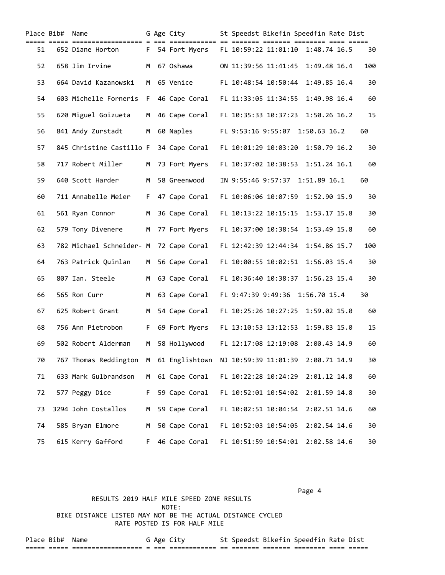|    | Place Bib# Name |                                        |     | G Age City       | St Speedst Bikefin Speedfin Rate Dist             |     |
|----|-----------------|----------------------------------------|-----|------------------|---------------------------------------------------|-----|
| 51 |                 | 652 Diane Horton                       |     |                  | F 54 Fort Myers FL 10:59:22 11:01:10 1:48.74 16.5 | 30  |
| 52 |                 | 658 Jim Irvine                         | M   | 67 Oshawa        | ON 11:39:56 11:41:45<br>1:49.48 16.4              | 100 |
| 53 |                 | 664 David Kazanowski                   | M   | 65 Venice        | FL 10:48:54 10:50:44<br>1:49.85 16.4              | 30  |
| 54 |                 | 603 Michelle Forneris                  | F   | 46 Cape Coral    | FL 11:33:05 11:34:55<br>1:49.98 16.4              | 60  |
| 55 |                 | 620 Miguel Goizueta                    | M   | 46 Cape Coral    | FL 10:35:33 10:37:23<br>1:50.26 16.2              | 15  |
| 56 |                 | 841 Andy Zurstadt                      | M   | 60 Naples        | FL 9:53:16 9:55:07 1:50.63 16.2                   | 60  |
| 57 |                 | 845 Christine Castillo F               |     | 34 Cape Coral    | FL 10:01:29 10:03:20<br>1:50.79 16.2              | 30  |
| 58 |                 | 717 Robert Miller                      | м   | 73 Fort Myers    | FL 10:37:02 10:38:53 1:51.24 16.1                 | 60  |
| 59 |                 | 640 Scott Harder                       | M   | 58 Greenwood     | IN 9:55:46 9:57:37 1:51.89 16.1                   | 60  |
| 60 |                 | 711 Annabelle Meier                    | F.  | 47 Cape Coral    | FL 10:06:06 10:07:59<br>1:52.90 15.9              | 30  |
| 61 |                 | 561 Ryan Connor                        | M   | 36 Cape Coral    | FL 10:13:22 10:15:15<br>1:53.17 15.8              | 30  |
| 62 |                 | 579 Tony Divenere                      | М   | 77 Fort Myers    | FL 10:37:00 10:38:54<br>1:53.49 15.8              | 60  |
| 63 |                 | 782 Michael Schneider- M 72 Cape Coral |     |                  | 1:54.86 15.7<br>FL 12:42:39 12:44:34              | 100 |
| 64 |                 | 763 Patrick Quinlan                    | M . | 56 Cape Coral    | FL 10:00:55 10:02:51<br>1:56.03 15.4              | 30  |
| 65 |                 | 807 Ian. Steele                        | M   | 63 Cape Coral    | FL 10:36:40 10:38:37<br>1:56.23 15.4              | 30  |
| 66 |                 | 565 Ron Curr                           | M   | 63 Cape Coral    | FL 9:47:39 9:49:36 1:56.70 15.4                   | 30  |
| 67 |                 | 625 Robert Grant                       | M   | 54 Cape Coral    | FL 10:25:26 10:27:25<br>1:59.02 15.0              | 60  |
| 68 |                 | 756 Ann Pietrobon                      | F.  | 69 Fort Myers    | FL 13:10:53 13:12:53<br>1:59.83 15.0              | 15  |
| 69 |                 | 502 Robert Alderman                    | М   | 58 Hollywood     | FL 12:17:08 12:19:08<br>2:00.43 14.9              | 60  |
| 70 |                 | 767 Thomas Reddington                  |     | M 61 Englishtown | NJ 10:59:39 11:01:39<br>2:00.71 14.9              | 30  |
| 71 |                 | 633 Mark Gulbrandson                   | м   | 61 Cape Coral    | FL 10:22:28 10:24:29<br>2:01.12 14.8              | 60  |
| 72 |                 | 577 Peggy Dice                         | F.  | 59 Cape Coral    | 2:01.59 14.8<br>FL 10:52:01 10:54:02              | 30  |
| 73 |                 | 3294 John Costallos                    | М   | 59 Cape Coral    | FL 10:02:51 10:04:54<br>2:02.51 14.6              | 60  |
| 74 |                 | 585 Bryan Elmore                       | М   | 50 Cape Coral    | FL 10:52:03 10:54:05<br>2:02.54 14.6              | 30  |
| 75 |                 | 615 Kerry Gafford                      | F.  | 46 Cape Coral    | FL 10:51:59 10:54:01<br>2:02.58 14.6              | 30  |

Page 4

RESULTS 2019 HALF MILE SPEED ZONE RESULTS<br>NOTE: NOTE: BIKE DISTANCE LISTED MAY NOT BE THE ACTUAL DISTANCE CYCLED RATE POSTED IS FOR HALF MILE

Place Bib# Name G Age City St Speedst Bikefin Speedfin Rate Dist ===== ===== ================== = === ============ == ======= ======= ======== ==== =====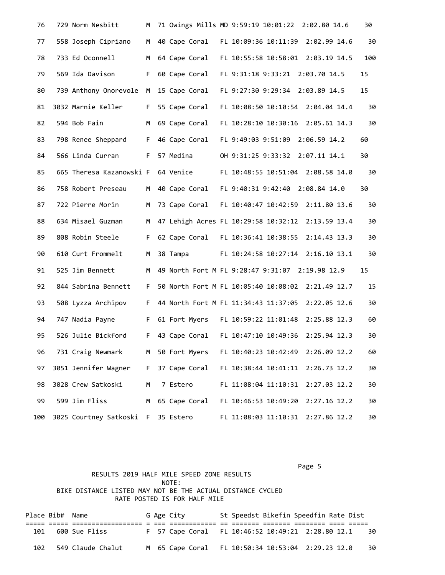| 76  | 729 Norm Nesbitt                   | M   |                 | 71 Owings Mills MD 9:59:19 10:01:22 2:02.80 14.6    | 30   |
|-----|------------------------------------|-----|-----------------|-----------------------------------------------------|------|
| 77  | 558 Joseph Cipriano                | M   |                 | 40 Cape Coral FL 10:09:36 10:11:39 2:02.99 14.6     | 30   |
| 78  | 733 Ed Oconnell                    | M   | 64 Cape Coral   | FL 10:55:58 10:58:01 2:03.19 14.5                   | 100  |
| 79  | 569 Ida Davison                    | F.  | 60 Cape Coral   | FL 9:31:18 9:33:21 2:03.70 14.5                     | 15   |
| 80  | 739 Anthony Onorevole M            |     | 15 Cape Coral   | FL 9:27:30 9:29:34 2:03.89 14.5                     | 15   |
| 81  | 3032 Marnie Keller                 | F   |                 | 55 Cape Coral FL 10:08:50 10:10:54 2:04.04 14.4     | 30   |
| 82  | 594 Bob Fain                       | M   | 69 Cape Coral   | FL 10:28:10 10:30:16 2:05.61 14.3                   | - 30 |
| 83  | 798 Renee Sheppard                 | E.  | 46 Cape Coral   | FL 9:49:03 9:51:09 2:06.59 14.2                     | 60   |
| 84  | 566 Linda Curran                   | F.  | 57 Medina       | OH 9:31:25 9:33:32 2:07.11 14.1                     | 30   |
| 85  | 665 Theresa Kazanowski F 64 Venice |     |                 | FL 10:48:55 10:51:04 2:08.58 14.0                   | 30   |
| 86  | 758 Robert Preseau                 | M . | 40 Cape Coral   | FL 9:40:31 9:42:40 2:08.84 14.0                     | 30   |
| 87  | 722 Pierre Morin                   | M   |                 | 73 Cape Coral FL 10:40:47 10:42:59 2:11.80 13.6     | 30   |
| 88  | 634 Misael Guzman                  |     |                 | M 47 Lehigh Acres FL 10:29:58 10:32:12 2:13.59 13.4 | 30   |
| 89  | 808 Robin Steele                   | F.  |                 | 62 Cape Coral FL 10:36:41 10:38:55 2:14.43 13.3     | 30   |
| 90  | 610 Curt Frommelt                  |     | M 38 Tampa      | FL 10:24:58 10:27:14 2:16.10 13.1                   | 30   |
| 91  | 525 Jim Bennett                    | M . |                 | 49 North Fort M FL 9:28:47 9:31:07 2:19.98 12.9     | 15   |
| 92  | 844 Sabrina Bennett                | F.  |                 | 50 North Fort M FL 10:05:40 10:08:02 2:21.49 12.7   | 15   |
| 93  | 508 Lyzza Archipov                 | - F |                 | 44 North Fort M FL 11:34:43 11:37:05 2:22.05 12.6   | 30   |
| 94  | 747 Nadia Payne                    | F.  | 61 Fort Myers   | FL 10:59:22 11:01:48 2:25.88 12.3                   | 60   |
| 95  | 526 Julie Bickford                 | F.  |                 | 43 Cape Coral FL 10:47:10 10:49:36<br>2:25.94 12.3  | 30   |
| 96  | 731 Craig Newmark                  |     | M 50 Fort Myers | FL 10:40:23 10:42:49<br>2:26.09 12.2                | 60   |
| 97  | 3051 Jennifer Wagner               | F   | 37 Cape Coral   | FL 10:38:44 10:41:11<br>2:26.73 12.2                | 30   |
| 98  | 3028 Crew Satkoski                 | М   | 7 Estero        | FL 11:08:04 11:10:31<br>2:27.03 12.2                | 30   |
| 99  | 599 Jim Fliss                      | M   | 65 Cape Coral   | FL 10:46:53 10:49:20<br>2:27.16 12.2                | 30   |
| 100 | 3025 Courtney Satkoski F           |     | 35 Estero       | FL 11:08:03 11:10:31<br>2:27.86 12.2                | 30   |

Page 5 and 2012 and 2012 and 2012 and 2012 and 2012 and 2012 and 2012 and 2012 and 2012 and 2012 and 2012 and RESULTS 2019 HALF MILE SPEED ZONE RESULTS NOTE: BIKE DISTANCE LISTED MAY NOT BE THE ACTUAL DISTANCE CYCLED RATE POSTED IS FOR HALF MILE Place Bib# Name G Age City St Speedst Bikefin Speedfin Rate Dist

===== ===== ================== = === ============ == ======= ======= ======== ==== ===== 101 600 Sue Fliss F 57 Cape Coral FL 10:46:52 10:49:21 2:28.80 12.1 30 102 549 Claude Chalut M 65 Cape Coral FL 10:50:34 10:53:04 2:29.23 12.0 30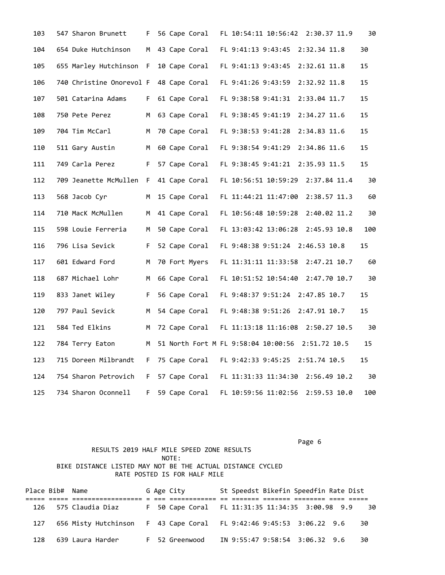| 103 | 547 Sharon Brunett       | F.  | 56 Cape Coral | FL 10:54:11 10:56:42 2:30.37 11.9                | 30  |
|-----|--------------------------|-----|---------------|--------------------------------------------------|-----|
| 104 | 654 Duke Hutchinson      | M . | 43 Cape Coral | FL 9:41:13 9:43:45<br>2:32.34 11.8               | 30  |
| 105 | 655 Marley Hutchinson F  |     | 10 Cape Coral | FL 9:41:13 9:43:45<br>2:32.61 11.8               | 15  |
| 106 | 740 Christine Onorevol F |     | 48 Cape Coral | FL 9:41:26 9:43:59<br>2:32.92 11.8               | 15  |
| 107 | 501 Catarina Adams       | F.  | 61 Cape Coral | FL 9:38:58 9:41:31<br>2:33.04 11.7               | 15  |
| 108 | 750 Pete Perez           | M   | 63 Cape Coral | FL 9:38:45 9:41:19<br>2:34.27 11.6               | 15  |
| 109 | 704 Tim McCarl           | M   | 70 Cape Coral | FL 9:38:53 9:41:28<br>2:34.83 11.6               | 15  |
| 110 | 511 Gary Austin          | M   | 60 Cape Coral | FL 9:38:54 9:41:29<br>2:34.86 11.6               | 15  |
| 111 | 749 Carla Perez          | F.  | 57 Cape Coral | FL 9:38:45 9:41:21<br>2:35.93 11.5               | 15  |
| 112 | 709 Jeanette McMullen F  |     | 41 Cape Coral | FL 10:56:51 10:59:29<br>2:37.84 11.4             | 30  |
| 113 | 568 Jacob Cyr            | M   | 15 Cape Coral | FL 11:44:21 11:47:00 2:38.57 11.3                | 60  |
| 114 | 710 MacK McMullen        | M   | 41 Cape Coral | FL 10:56:48 10:59:28 2:40.02 11.2                | 30  |
| 115 | 598 Louie Ferreria       | M   | 50 Cape Coral | FL 13:03:42 13:06:28 2:45.93 10.8                | 100 |
| 116 | 796 Lisa Sevick          | F.  | 52 Cape Coral | FL 9:48:38 9:51:24 2:46.53 10.8                  | 15  |
| 117 | 601 Edward Ford          | M   | 70 Fort Myers | FL 11:31:11 11:33:58 2:47.21 10.7                | 60  |
| 118 | 687 Michael Lohr         | M   | 66 Cape Coral | FL 10:51:52 10:54:40 2:47.70 10.7                | 30  |
| 119 | 833 Janet Wiley          | F.  | 56 Cape Coral | FL 9:48:37 9:51:24 2:47.85 10.7                  | 15  |
| 120 | 797 Paul Sevick          | M   | 54 Cape Coral | FL 9:48:38 9:51:26 2:47.91 10.7                  | 15  |
| 121 | 584 Ted Elkins           | M   | 72 Cape Coral | FL 11:13:18 11:16:08 2:50.27 10.5                | 30  |
| 122 | 784 Terry Eaton          | M   |               | 51 North Fort M FL 9:58:04 10:00:56 2:51.72 10.5 | 15  |
| 123 | 715 Doreen Milbrandt     | F.  | 75 Cape Coral | FL 9:42:33 9:45:25 2:51.74 10.5                  | 15  |
| 124 | 754 Sharon Petrovich     | F.  | 57 Cape Coral | FL 11:31:33 11:34:30 2:56.49 10.2                | 30  |
| 125 | 734 Sharon Oconnell      | F.  | 59 Cape Coral | 2:59.53 10.0<br>FL 10:59:56 11:02:56             | 100 |

Page 6 and the contract of the contract of the contract of the contract of the contract of the contract of the

## RESULTS 2019 HALF MILE SPEED ZONE RESULTS NOTE: BIKE DISTANCE LISTED MAY NOT BE THE ACTUAL DISTANCE CYCLED RATE POSTED IS FOR HALF MILE

Place Bib# Name G Age City St Speedst Bikefin Speedfin Rate Dist ===== ===== ================== = === ============ == ======= ======= ======== ==== ===== 126 575 Claudia Diaz F 50 Cape Coral FL 11:31:35 11:34:35 3:00.98 9.9 30 127 656 Misty Hutchinson F 43 Cape Coral FL 9:42:46 9:45:53 3:06.22 9.6 30 128 639 Laura Harder F 52 Greenwood IN 9:55:47 9:58:54 3:06.32 9.6 30